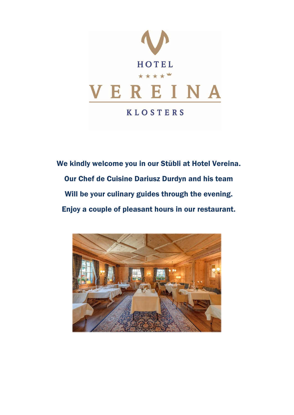

We kindly welcome you in our Stübli at Hotel Vereina. Our Chef de Cuisine Dariusz Durdyn and his team Will be your culinary guides through the evening. Enjoy a couple of pleasant hours in our restaurant.

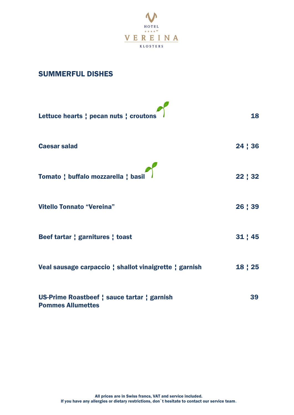

#### SUMMERFUL DISHES

| Lettuce hearts ; pecan nuts ; croutons                                  | 18      |
|-------------------------------------------------------------------------|---------|
| <b>Caesar salad</b>                                                     | 24   36 |
| Tomato ; buffalo mozzarella ; basil                                     | 22   32 |
| <b>Vitello Tonnato "Vereina"</b>                                        | 26   39 |
| Beef tartar   garnitures   toast                                        | 31   45 |
| Veal sausage carpaccio ; shallot vinaigrette ; garnish                  | 18   25 |
| US-Prime Roastbeef   sauce tartar   garnish<br><b>Pommes Allumettes</b> | 39      |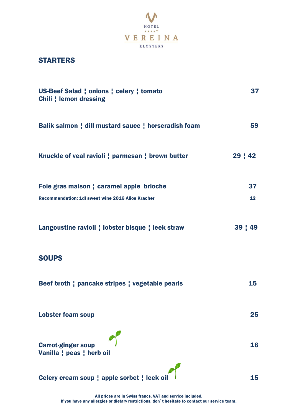

## **STARTERS**

| US-Beef Salad   onions   celery   tomato<br><b>Chili</b> ¦ lemon dressing | 37              |
|---------------------------------------------------------------------------|-----------------|
| Balik salmon   dill mustard sauce   horseradish foam                      | 59              |
| Knuckle of veal ravioli ; parmesan ; brown butter                         | 29:42           |
| Foie gras maison   caramel apple brioche                                  | 37              |
| Recommendation: 1dl sweet wine 2016 Alios Kracher                         | 12 <sub>2</sub> |
| Langoustine ravioli ! lobster bisque ! leek straw                         | $39 \mid 49$    |
| <b>SOUPS</b>                                                              |                 |
| Beef broth ; pancake stripes ; vegetable pearls                           | 15              |
| <b>Lobster foam soup</b>                                                  | 25              |
| <b>Carrot-ginger soup</b><br>Vanilla ¦ peas ¦ herb oil                    | 16              |
| Celery cream soup   apple sorbet   leek oil                               | 15              |

All prices are in Swiss francs, VAT and service included. If you have any allergies or dietary restrictions, don`t hesitate to contact our service team.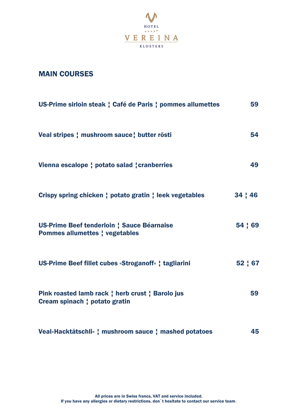

## MAIN COURSES

| US-Prime sirloin steak ! Café de Paris ! pommes allumettes                          | 59      |
|-------------------------------------------------------------------------------------|---------|
| Veal stripes ! mushroom sauce ! butter rösti                                        | 54      |
| Vienna escalope   potato salad   cranberries                                        | 49      |
| Crispy spring chicken ! potato gratin ! leek vegetables                             | 34:46   |
| US-Prime Beef tenderloin : Sauce Béarnaise<br><b>Pommes allumettes ! vegetables</b> | 54 ! 69 |
| US-Prime Beef fillet cubes «Stroganoff» ! tagliarini                                | 52   67 |
| Pink roasted lamb rack   herb crust   Barolo jus<br>Cream spinach ! potato gratin   | 59      |
| Veal«Hacktätschli» ¦ mushroom sauce ¦ mashed potatoes                               | 45      |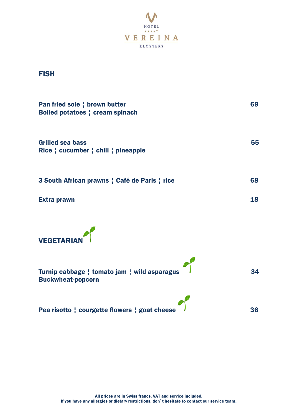

**FISH** 

| Pan fried sole ! brown butter<br><b>Boiled potatoes   cream spinach</b> | 69 |
|-------------------------------------------------------------------------|----|
| <b>Grilled sea bass</b><br>Rice : cucumber : chili : pineapple          | 55 |
| 3 South African prawns ! Café de Paris ! rice                           | 68 |
| <b>Extra prawn</b>                                                      | 18 |
|                                                                         |    |



| Turnip cabbage ; tomato jam ; wild asparagus<br><b>Buckwheat-popcorn</b> | 34 |
|--------------------------------------------------------------------------|----|
| Pea risotto : courgette flowers : goat cheese                            | 36 |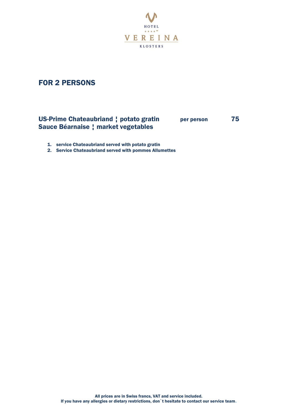

## FOR 2 PERSONS

#### US-Prime Chateaubriand ¦ potato gratin per person 75 Sauce Béarnaise ¦ market vegetables

- 1. service Chateaubriand served with potato gratin
- 2. Service Chateaubriand served with pommes Allumettes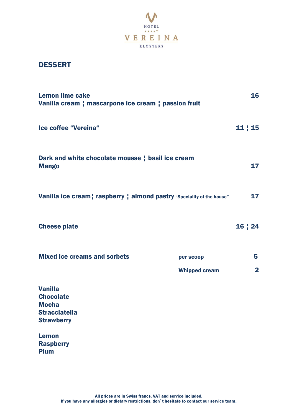

## DESSERT

| <b>Lemon lime cake</b><br>Vanilla cream ; mascarpone ice cream ; passion fruit                  |                                   | 16                  |
|-------------------------------------------------------------------------------------------------|-----------------------------------|---------------------|
| Ice coffee "Vereina"                                                                            |                                   | 11   15             |
| Dark and white chocolate mousse   basil ice cream<br><b>Mango</b>                               |                                   |                     |
| Vanilla ice cream   raspberry   almond pastry "Speciality of the house"                         |                                   | 17                  |
| <b>Cheese plate</b>                                                                             |                                   | 16   24             |
| <b>Mixed ice creams and sorbets</b>                                                             | per scoop<br><b>Whipped cream</b> | 5<br>$\overline{2}$ |
| <b>Vanilla</b><br><b>Chocolate</b><br><b>Mocha</b><br><b>Stracciatella</b><br><b>Strawberry</b> |                                   |                     |
| <b>Lemon</b><br><b>Raspberry</b><br><b>Plum</b>                                                 |                                   |                     |